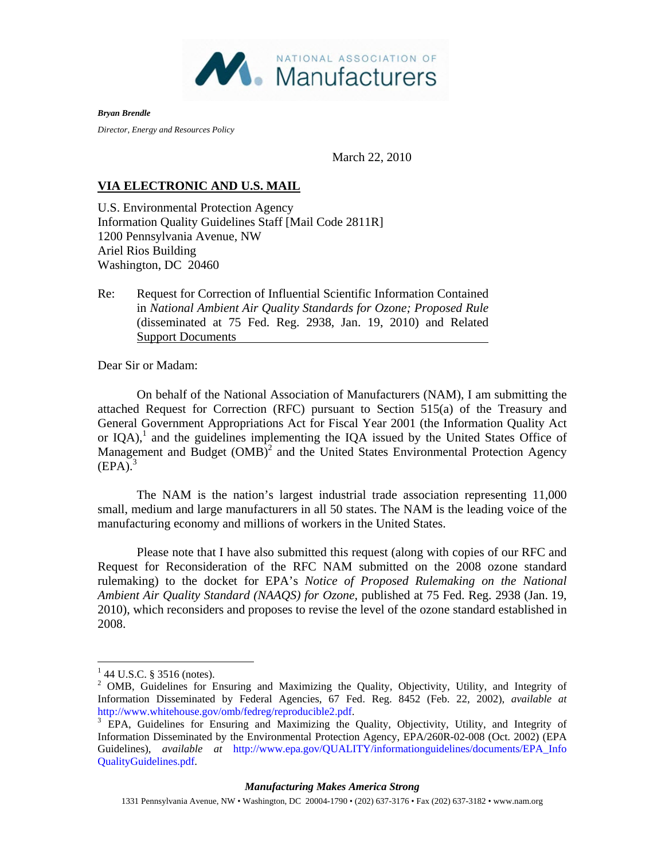

*Bryan Brendle* 

*Director, Energy and Resources Policy* 

March 22, 2010

## **VIA ELECTRONIC AND U.S. MAIL**

U.S. Environmental Protection Agency Information Quality Guidelines Staff [Mail Code 2811R] 1200 Pennsylvania Avenue, NW Ariel Rios Building Washington, DC 20460

Re: Request for Correction of Influential Scientific Information Contained in *National Ambient Air Quality Standards for Ozone; Proposed Rule* (disseminated at 75 Fed. Reg. 2938, Jan. 19, 2010) and Related Support Documents

Dear Sir or Madam:

On behalf of the National Association of Manufacturers (NAM), I am submitting the attached Request for Correction (RFC) pursuant to Section 515(a) of the Treasury and General Government Appropriations Act for Fiscal Year 2001 (the Information Quality Act or  $IQA$ ),<sup>1</sup> and the guidelines implementing the  $IQA$  issued by the United States Office of Management and Budget  $(OMB)^2$  and the United States Environmental Protection Agency  $(EPA).$ <sup>3</sup>

The NAM is the nation's largest industrial trade association representing 11,000 small, medium and large manufacturers in all 50 states. The NAM is the leading voice of the manufacturing economy and millions of workers in the United States.

Please note that I have also submitted this request (along with copies of our RFC and Request for Reconsideration of the RFC NAM submitted on the 2008 ozone standard rulemaking) to the docket for EPA's *Notice of Proposed Rulemaking on the National Ambient Air Quality Standard (NAAQS) for Ozone,* published at 75 Fed. Reg. 2938 (Jan. 19, 2010), which reconsiders and proposes to revise the level of the ozone standard established in 2008.

## *Manufacturing Makes America Strong*

1331 Pennsylvania Avenue, NW • Washington, DC 20004-1790 • (202) 637-3176 • Fax (202) 637-3182 • www.nam.org

 $\overline{a}$  $1$  44 U.S.C. § 3516 (notes).

<sup>&</sup>lt;sup>2</sup> OMB, Guidelines for Ensuring and Maximizing the Quality, Objectivity, Utility, and Integrity of Information Disseminated by Federal Agencies, 67 Fed. Reg. 8452 (Feb. 22, 2002), *available at*  http://www.whitehouse.gov/omb/fedreg/reproducible2.pdf.<br><sup>3</sup> EPA, Guidelines for Ensuring and Maximizing the Quality, Objectivity, Utility, and Integrity of

Information Disseminated by the Environmental Protection Agency, EPA/260R-02-008 (Oct. 2002) (EPA Guidelines), *available at* http://www.epa.gov/QUALITY/informationguidelines/documents/EPA\_Info QualityGuidelines.pdf.